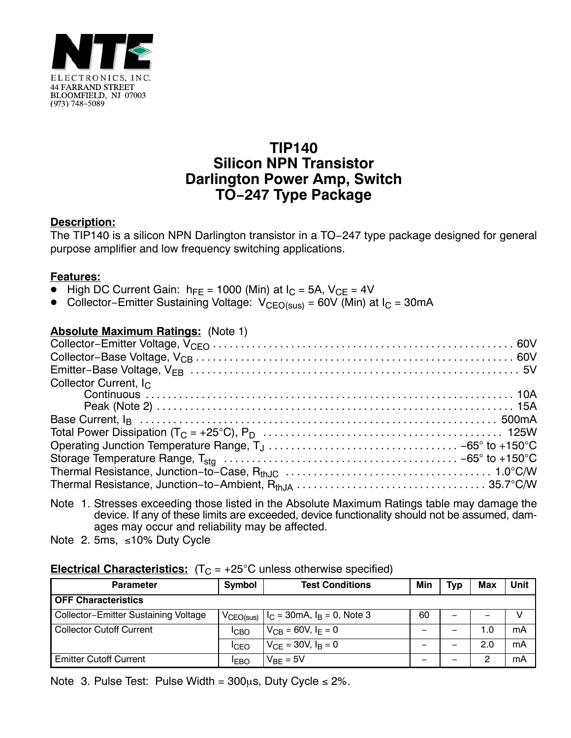

# **TIP140 Silicon NPN Transistor Darlington Power Amp, Switch TO−247 Type Package**

## **Description:**

The TIP140 is a silicon NPN Darlington transistor in a TO−247 type package designed for general purpose amplifier and low frequency switching applications.

#### **Features:**

- High DC Current Gain: hFE = 1000 (Min) at IC = 5A, VCE = 4V -
- Collector–Emitter Sustaining Voltage:  $V_{CFO(sus)}$  = 60V (Min) at I<sub>C</sub> = 30mA

### **Absolute Maximum Ratings:** (Note 1)

| Collector Current, $I_C$ |  |
|--------------------------|--|
|                          |  |
|                          |  |
|                          |  |
|                          |  |
|                          |  |
|                          |  |
|                          |  |
|                          |  |
|                          |  |

- Note 1. Stresses exceeding those listed in the Absolute Maximum Ratings table may damage the device. If any of these limits are exceeded, device functionality should not be assumed, damages may occur and reliability may be affected.
- Note 2. 5ms,  $\leq 10\%$  Duty Cycle

## **Electrical Characteristics:**  $(T_C = +25^{\circ}C$  unless otherwise specified)

| <b>Parameter</b>                     | Symbol                | <b>Test Conditions</b>                  | Min | <b>Typ</b> | Max | Unit |
|--------------------------------------|-----------------------|-----------------------------------------|-----|------------|-----|------|
| <b>OFF Characteristics</b>           |                       |                                         |     |            |     |      |
| Collector-Emitter Sustaining Voltage | $V_{\text{CEO(sus)}}$ | $ I_C = 30 \text{mA}, I_B = 0$ , Note 3 | 60  |            |     |      |
| <b>Collector Cutoff Current</b>      | <b>ICBO</b>           | $V_{CB} = 60V, I_F = 0$                 | -   |            | l.O | mA   |
|                                      | <b>ICFO</b>           | $V_{CF} = 30V, I_B = 0$                 | -   |            | 2.0 | mA   |
| <b>Emitter Cutoff Current</b>        | <b>IFBO</b>           | $V_{BF} = 5V$                           | -   |            | ິ   | mA   |

Note 3. Pulse Test: Pulse Width =  $300\mu s$ , Duty Cycle  $\leq 2\%$ .